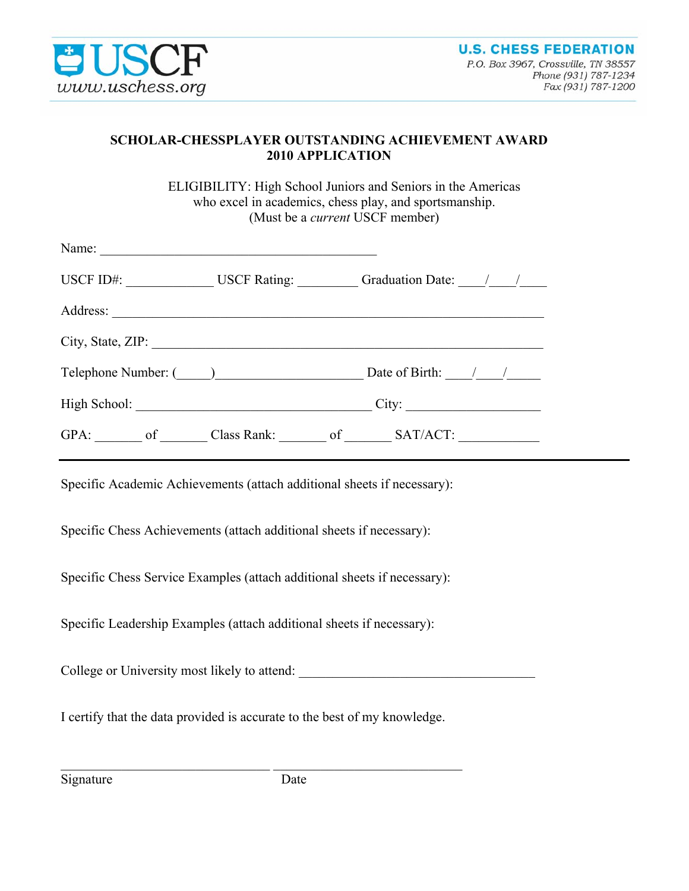

## **SCHOLAR-CHESSPLAYER OUTSTANDING ACHIEVEMENT AWARD 2010 APPLICATION**

ELIGIBILITY: High School Juniors and Seniors in the Americas who excel in academics, chess play, and sportsmanship. (Must be a *current* USCF member)

| Name:             |                      |                                                  |
|-------------------|----------------------|--------------------------------------------------|
|                   |                      | USCF ID#: USCF Rating: Graduation Date: 1        |
|                   |                      |                                                  |
| City, State, ZIP: |                      |                                                  |
|                   | Telephone Number: () | Date of Birth: $\frac{1}{\sqrt{1-\frac{1}{2}}}\$ |
|                   |                      |                                                  |
|                   |                      | GPA: of Class Rank: of SAT/ACT:                  |

Specific Academic Achievements (attach additional sheets if necessary):

Specific Chess Achievements (attach additional sheets if necessary):

Specific Chess Service Examples (attach additional sheets if necessary):

Specific Leadership Examples (attach additional sheets if necessary):

College or University most likely to attend:

I certify that the data provided is accurate to the best of my knowledge.

 $\mathcal{L}_\text{max}$  , and the contribution of the contribution of the contribution of the contribution of the contribution of the contribution of the contribution of the contribution of the contribution of the contribution of t

Signature Date